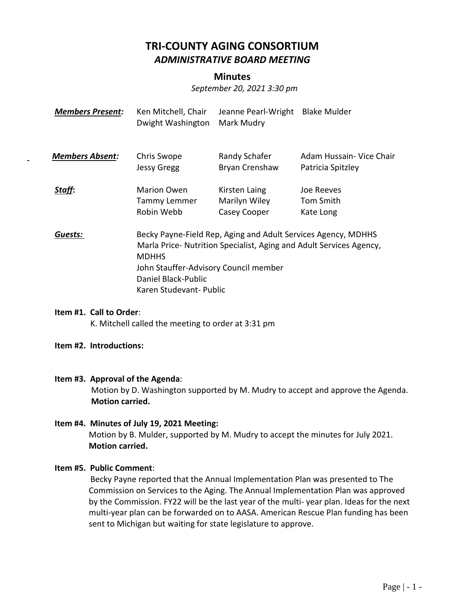# **TRI-COUNTY AGING CONSORTIUM** *ADMINISTRATIVE BOARD MEETING*

#### **Minutes**

*September 20, 2021 3:30 pm*

| <b>Members Present:</b> | Ken Mitchell, Chair<br>Dwight Washington                                                                                                                                                                                                        | Jeanne Pearl-Wright<br>Mark Mudry              | <b>Blake Mulder</b>                           |
|-------------------------|-------------------------------------------------------------------------------------------------------------------------------------------------------------------------------------------------------------------------------------------------|------------------------------------------------|-----------------------------------------------|
| <b>Members Absent:</b>  | Chris Swope<br><b>Jessy Gregg</b>                                                                                                                                                                                                               | Randy Schafer<br>Bryan Crenshaw                | Adam Hussain- Vice Chair<br>Patricia Spitzley |
| Staff:                  | <b>Marion Owen</b><br>Tammy Lemmer<br>Robin Webb                                                                                                                                                                                                | Kirsten Laing<br>Marilyn Wiley<br>Casey Cooper | Joe Reeves<br>Tom Smith<br>Kate Long          |
| Guests:                 | Becky Payne-Field Rep, Aging and Adult Services Agency, MDHHS<br>Marla Price- Nutrition Specialist, Aging and Adult Services Agency,<br><b>MDHHS</b><br>John Stauffer-Advisory Council member<br>Daniel Black-Public<br>Karen Studevant- Public |                                                |                                               |

## **Item #1. Call to Order**:

K. Mitchell called the meeting to order at 3:31 pm

#### **Item #2. Introductions:**

#### **Item #3. Approval of the Agenda**:

Motion by D. Washington supported by M. Mudry to accept and approve the Agenda. **Motion carried.**

## **Item #4. Minutes of July 19, 2021 Meeting:** Motion by B. Mulder, supported by M. Mudry to accept the minutes for July 2021. **Motion carried.**

#### **Item #5. Public Comment**:

 Becky Payne reported that the Annual Implementation Plan was presented to The Commission on Services to the Aging. The Annual Implementation Plan was approved by the Commission. FY22 will be the last year of the multi- year plan. Ideas for the next multi-year plan can be forwarded on to AASA. American Rescue Plan funding has been sent to Michigan but waiting for state legislature to approve.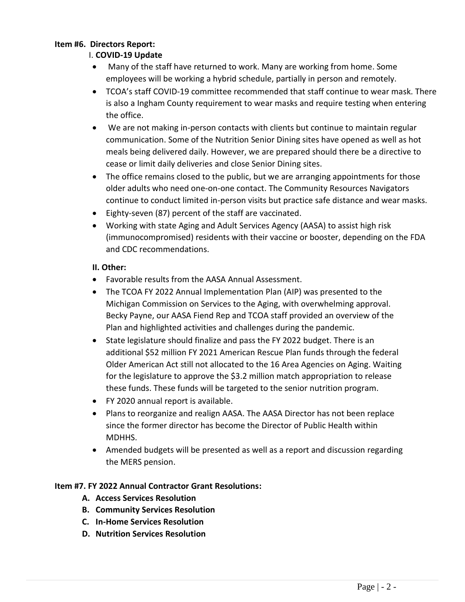#### **Item #6. Directors Report:**

## I. **COVID-19 Update**

- Many of the staff have returned to work. Many are working from home. Some employees will be working a hybrid schedule, partially in person and remotely.
- TCOA's staff COVID-19 committee recommended that staff continue to wear mask. There is also a Ingham County requirement to wear masks and require testing when entering the office.
- We are not making in-person contacts with clients but continue to maintain regular communication. Some of the Nutrition Senior Dining sites have opened as well as hot meals being delivered daily. However, we are prepared should there be a directive to cease or limit daily deliveries and close Senior Dining sites.
- The office remains closed to the public, but we are arranging appointments for those older adults who need one-on-one contact. The Community Resources Navigators continue to conduct limited in-person visits but practice safe distance and wear masks.
- Eighty-seven (87) percent of the staff are vaccinated.
- Working with state Aging and Adult Services Agency (AASA) to assist high risk (immunocompromised) residents with their vaccine or booster, depending on the FDA and CDC recommendations.

## **II. Other:**

- Favorable results from the AASA Annual Assessment.
- The TCOA FY 2022 Annual Implementation Plan (AIP) was presented to the Michigan Commission on Services to the Aging, with overwhelming approval. Becky Payne, our AASA Fiend Rep and TCOA staff provided an overview of the Plan and highlighted activities and challenges during the pandemic.
- State legislature should finalize and pass the FY 2022 budget. There is an additional \$52 million FY 2021 American Rescue Plan funds through the federal Older American Act still not allocated to the 16 Area Agencies on Aging. Waiting for the legislature to approve the \$3.2 million match appropriation to release these funds. These funds will be targeted to the senior nutrition program.
- FY 2020 annual report is available.
- Plans to reorganize and realign AASA. The AASA Director has not been replace since the former director has become the Director of Public Health within MDHHS.
- Amended budgets will be presented as well as a report and discussion regarding the MERS pension.

## **Item #7. FY 2022 Annual Contractor Grant Resolutions:**

- **A. Access Services Resolution**
- **B. Community Services Resolution**
- **C. In-Home Services Resolution**
- **D. Nutrition Services Resolution**